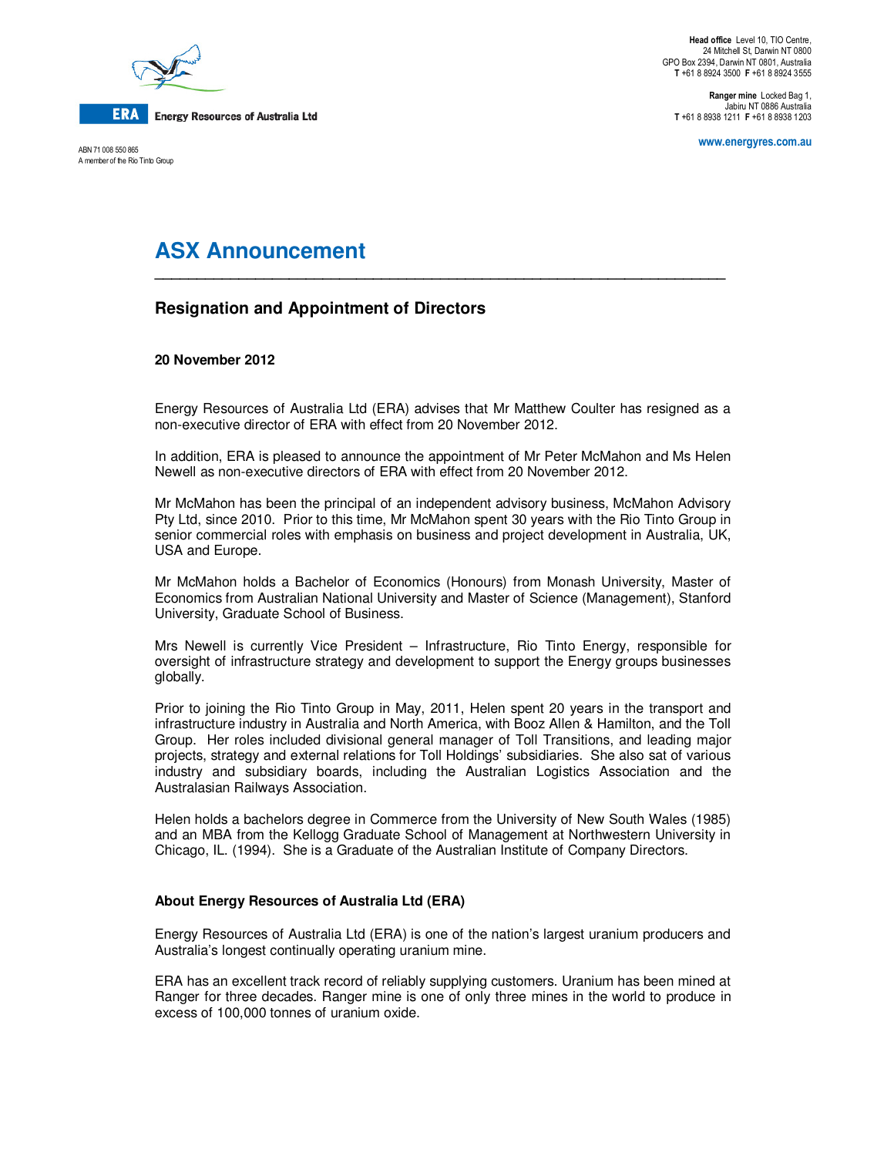

ABN 71 008 550 865 A member of the Rio Tinto Group

**Ranger mine** Locked Bag 1, Jabiru NT 0886 Australia **T** +61 8 8938 1211 **F** +61 8 8938 1203

**www.energyres.com.au** 

# **ASX Announcement**

# **Resignation and Appointment of Directors**

## **20 November 2012**

Energy Resources of Australia Ltd (ERA) advises that Mr Matthew Coulter has resigned as a non-executive director of ERA with effect from 20 November 2012.

**\_\_\_\_\_\_\_\_\_\_\_\_\_\_\_\_\_\_\_\_\_\_\_\_\_\_\_\_\_\_\_\_\_\_\_\_\_\_\_\_\_\_\_\_\_\_\_\_\_\_\_\_\_\_\_\_\_\_\_\_\_\_\_\_\_\_\_\_** 

In addition, ERA is pleased to announce the appointment of Mr Peter McMahon and Ms Helen Newell as non-executive directors of ERA with effect from 20 November 2012.

Mr McMahon has been the principal of an independent advisory business, McMahon Advisory Pty Ltd, since 2010. Prior to this time, Mr McMahon spent 30 years with the Rio Tinto Group in senior commercial roles with emphasis on business and project development in Australia, UK, USA and Europe.

Mr McMahon holds a Bachelor of Economics (Honours) from Monash University, Master of Economics from Australian National University and Master of Science (Management), Stanford University, Graduate School of Business.

Mrs Newell is currently Vice President – Infrastructure, Rio Tinto Energy, responsible for oversight of infrastructure strategy and development to support the Energy groups businesses globally.

Prior to joining the Rio Tinto Group in May, 2011, Helen spent 20 years in the transport and infrastructure industry in Australia and North America, with Booz Allen & Hamilton, and the Toll Group. Her roles included divisional general manager of Toll Transitions, and leading major projects, strategy and external relations for Toll Holdings' subsidiaries. She also sat of various industry and subsidiary boards, including the Australian Logistics Association and the Australasian Railways Association.

Helen holds a bachelors degree in Commerce from the University of New South Wales (1985) and an MBA from the Kellogg Graduate School of Management at Northwestern University in Chicago, IL. (1994). She is a Graduate of the Australian Institute of Company Directors.

#### **About Energy Resources of Australia Ltd (ERA)**

Energy Resources of Australia Ltd (ERA) is one of the nation's largest uranium producers and Australia's longest continually operating uranium mine.

ERA has an excellent track record of reliably supplying customers. Uranium has been mined at Ranger for three decades. Ranger mine is one of only three mines in the world to produce in excess of 100,000 tonnes of uranium oxide.